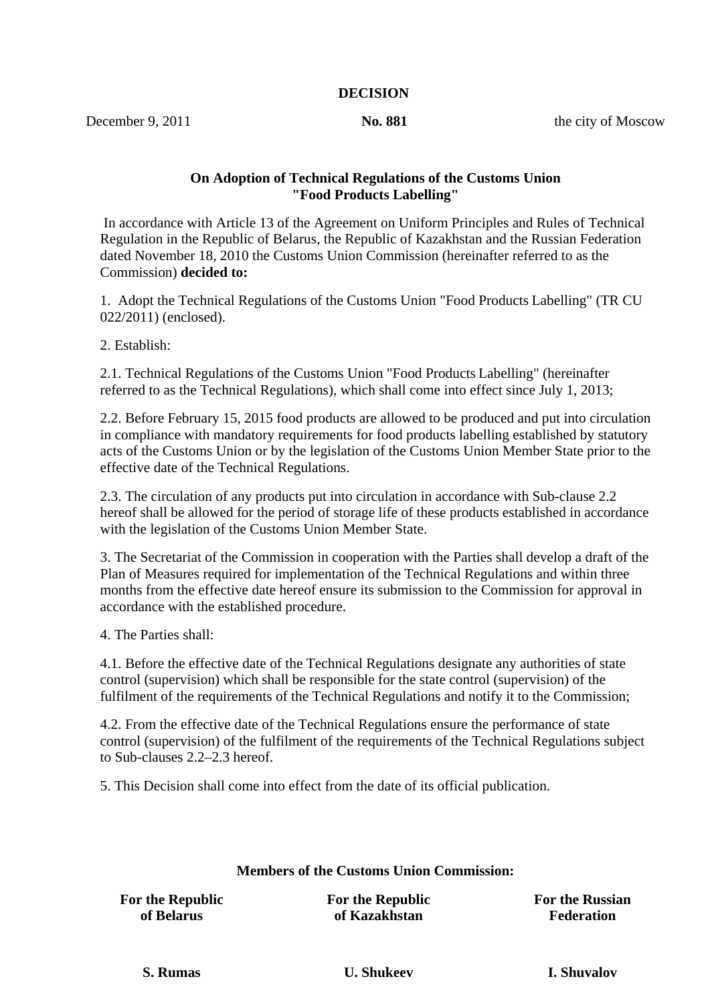#### **DECISION**

December 9, 2011 **No. 881 the city of Moscow** 

#### **On Adoption of Technical Regulations of the Customs Union "Food Products Labelling"**

 In accordance with Article 13 of the Agreement on Uniform Principles and Rules of Technical Regulation in the Republic of Belarus, the Republic of Kazakhstan and the Russian Federation dated November 18, 2010 the Customs Union Commission (hereinafter referred to as the Commission) **decided to:**

1. Adopt the Technical Regulations of the Customs Union "Food Products Labelling" (TR CU 022/2011) (enclosed).

2. Establish:

2.1. Technical Regulations of the Customs Union "Food Products Labelling" (hereinafter referred to as the Technical Regulations), which shall come into effect since July 1, 2013;

2.2. Before February 15, 2015 food products are allowed to be produced and put into circulation in compliance with mandatory requirements for food products labelling established by statutory acts of the Customs Union or by the legislation of the Customs Union Member State prior to the effective date of the Technical Regulations.

2.3. The circulation of any products put into circulation in accordance with Sub-clause 2.2 hereof shall be allowed for the period of storage life of these products established in accordance with the legislation of the Customs Union Member State.

3. The Secretariat of the Commission in cooperation with the Parties shall develop a draft of the Plan of Measures required for implementation of the Technical Regulations and within three months from the effective date hereof ensure its submission to the Commission for approval in accordance with the established procedure.

4. The Parties shall:

4.1. Before the effective date of the Technical Regulations designate any authorities of state control (supervision) which shall be responsible for the state control (supervision) of the fulfilment of the requirements of the Technical Regulations and notify it to the Commission;

4.2. From the effective date of the Technical Regulations ensure the performance of state control (supervision) of the fulfilment of the requirements of the Technical Regulations subject to Sub-clauses 2.2–2.3 hereof.

5. This Decision shall come into effect from the date of its official publication.

#### **Members of the Customs Union Commission:**

**For the Republic of Belarus**

**For the Republic of Kazakhstan**

**For the Russian Federation**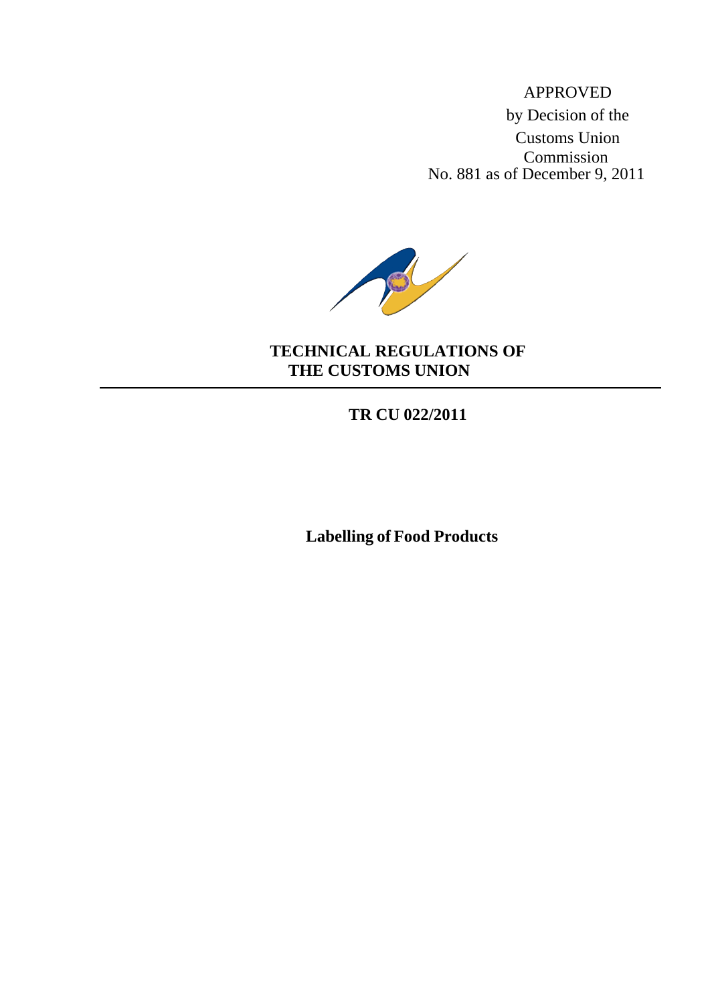APPROVED by Decision of the Customs Union Commission No. 881 as of December 9, 2011



### **TECHNICAL REGULATIONS OF THE CUSTOMS UNION**

**TR CU 022/2011**

**Labelling of Food Products**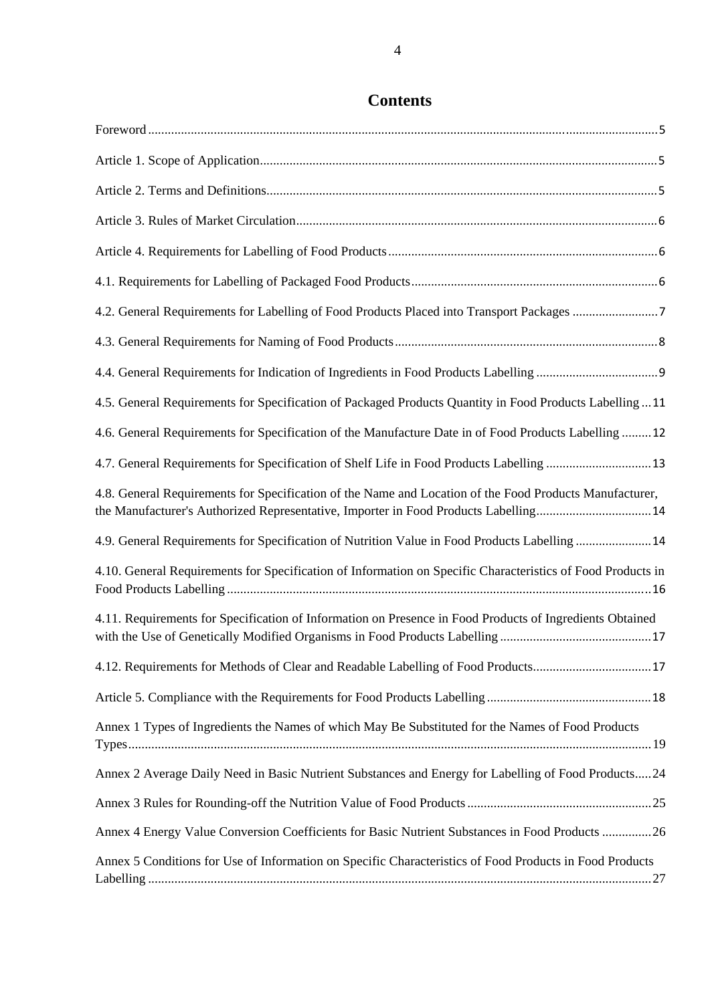| 4.2. General Requirements for Labelling of Food Products Placed into Transport Packages 7                                                                                                      |
|------------------------------------------------------------------------------------------------------------------------------------------------------------------------------------------------|
|                                                                                                                                                                                                |
|                                                                                                                                                                                                |
| 4.5. General Requirements for Specification of Packaged Products Quantity in Food Products Labelling11                                                                                         |
| 4.6. General Requirements for Specification of the Manufacture Date in of Food Products Labelling 12                                                                                           |
| 4.7. General Requirements for Specification of Shelf Life in Food Products Labelling 13                                                                                                        |
| 4.8. General Requirements for Specification of the Name and Location of the Food Products Manufacturer,<br>the Manufacturer's Authorized Representative, Importer in Food Products Labelling14 |
| 4.9. General Requirements for Specification of Nutrition Value in Food Products Labelling 14                                                                                                   |
| 4.10. General Requirements for Specification of Information on Specific Characteristics of Food Products in                                                                                    |
| 4.11. Requirements for Specification of Information on Presence in Food Products of Ingredients Obtained                                                                                       |
| 4.12. Requirements for Methods of Clear and Readable Labelling of Food Products17                                                                                                              |
|                                                                                                                                                                                                |
| Annex 1 Types of Ingredients the Names of which May Be Substituted for the Names of Food Products                                                                                              |
| Annex 2 Average Daily Need in Basic Nutrient Substances and Energy for Labelling of Food Products24                                                                                            |
|                                                                                                                                                                                                |
| Annex 4 Energy Value Conversion Coefficients for Basic Nutrient Substances in Food Products 26                                                                                                 |
| Annex 5 Conditions for Use of Information on Specific Characteristics of Food Products in Food Products                                                                                        |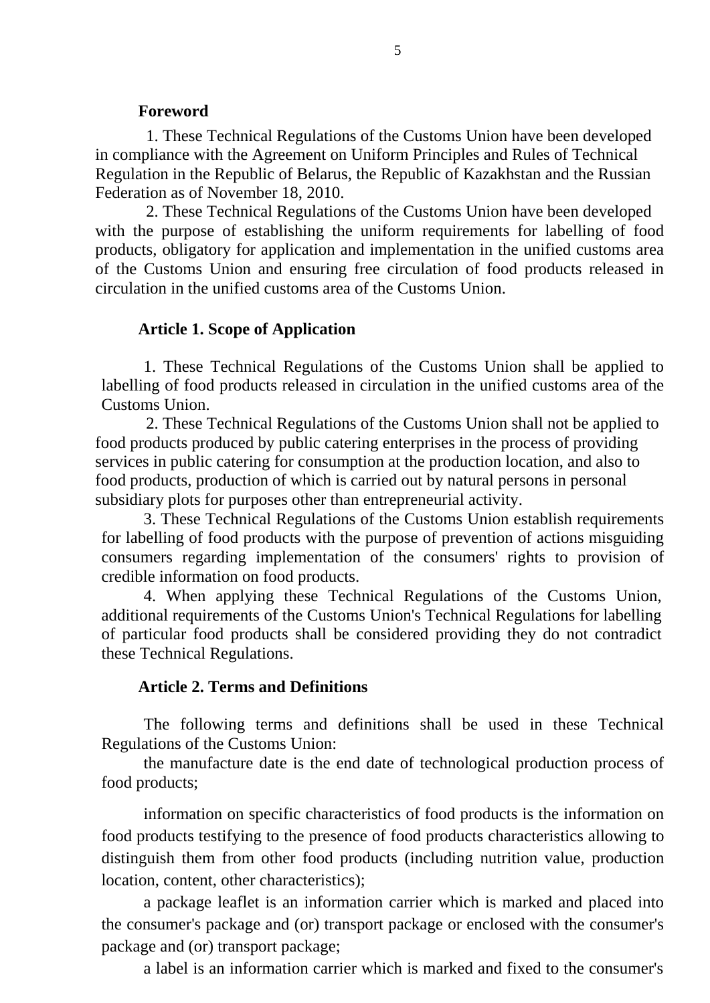#### **Foreword**

<span id="page-4-0"></span>1. These Technical Regulations of the Customs Union have been developed in compliance with the Agreement on Uniform Principles and Rules of Technical Regulation in the Republic of Belarus, the Republic of Kazakhstan and the Russian Federation as of November 18, 2010.

2. These Technical Regulations of the Customs Union have been developed with the purpose of establishing the uniform requirements for labelling of food products, obligatory for application and implementation in the unified customs area of the Customs Union and ensuring free circulation of food products released in circulation in the unified customs area of the Customs Union.

#### **Article 1. Scope of Application**

<span id="page-4-1"></span>1. These Technical Regulations of the Customs Union shall be applied to labelling of food products released in circulation in the unified customs area of the Customs Union.

2. These Technical Regulations of the Customs Union shall not be applied to food products produced by public catering enterprises in the process of providing services in public catering for consumption at the production location, and also to food products, production of which is carried out by natural persons in personal subsidiary plots for purposes other than entrepreneurial activity.

3. These Technical Regulations of the Customs Union establish requirements for labelling of food products with the purpose of prevention of actions misguiding consumers regarding implementation of the consumers' rights to provision of credible information on food products.

4. When applying these Technical Regulations of the Customs Union, additional requirements of the Customs Union's Technical Regulations for labelling of particular food products shall be considered providing they do not contradict these Technical Regulations.

#### **Article 2. Terms and Definitions**

<span id="page-4-2"></span>The following terms and definitions shall be used in these Technical Regulations of the Customs Union:

the manufacture date is the end date of technological production process of food products;

information on specific characteristics of food products is the information on food products testifying to the presence of food products characteristics allowing to distinguish them from other food products (including nutrition value, production location, content, other characteristics);

a package leaflet is an information carrier which is marked and placed into the consumer's package and (or) transport package or enclosed with the consumer's package and (or) transport package;

a label is an information carrier which is marked and fixed to the consumer's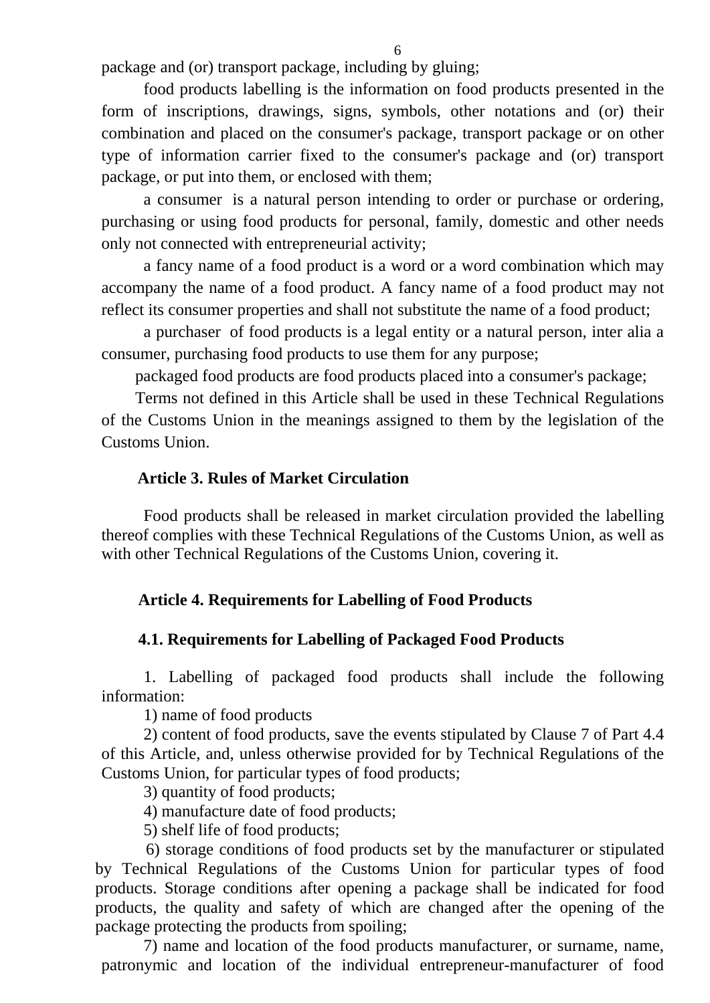package and (or) transport package, including by gluing;

food products labelling is the information on food products presented in the form of inscriptions, drawings, signs, symbols, other notations and (or) their combination and placed on the consumer's package, transport package or on other type of information carrier fixed to the consumer's package and (or) transport package, or put into them, or enclosed with them;

a consumer is a natural person intending to order or purchase or ordering, purchasing or using food products for personal, family, domestic and other needs only not connected with entrepreneurial activity;

a fancy name of a food product is a word or a word combination which may accompany the name of a food product. A fancy name of a food product may not reflect its consumer properties and shall not substitute the name of a food product;

a purchaser of food products is a legal entity or a natural person, inter alia a consumer, purchasing food products to use them for any purpose;

packaged food products are food products placed into a consumer's package;

Terms not defined in this Article shall be used in these Technical Regulations of the Customs Union in the meanings assigned to them by the legislation of the Customs Union.

### **Article 3. Rules of Market Circulation**

<span id="page-5-1"></span><span id="page-5-0"></span>Food products shall be released in market circulation provided the labelling thereof complies with these Technical Regulations of the Customs Union, as well as with other Technical Regulations of the Customs Union, covering it.

### **Article 4. Requirements for Labelling of Food Products**

### **4.1. Requirements for Labelling of Packaged Food Products**

<span id="page-5-2"></span>1. Labelling of packaged food products shall include the following information:

1) name of food products

2) content of food products, save the events stipulated by Clause 7 of Part 4.4 of this Article, and, unless otherwise provided for by Technical Regulations of the Customs Union, for particular types of food products;

3) quantity of food products;

4) manufacture date of food products;

5) shelf life of food products;

6) storage conditions of food products set by the manufacturer or stipulated by Technical Regulations of the Customs Union for particular types of food products. Storage conditions after opening a package shall be indicated for food products, the quality and safety of which are changed after the opening of the package protecting the products from spoiling;

7) name and location of the food products manufacturer, or surname, name, patronymic and location of the individual entrepreneur-manufacturer of food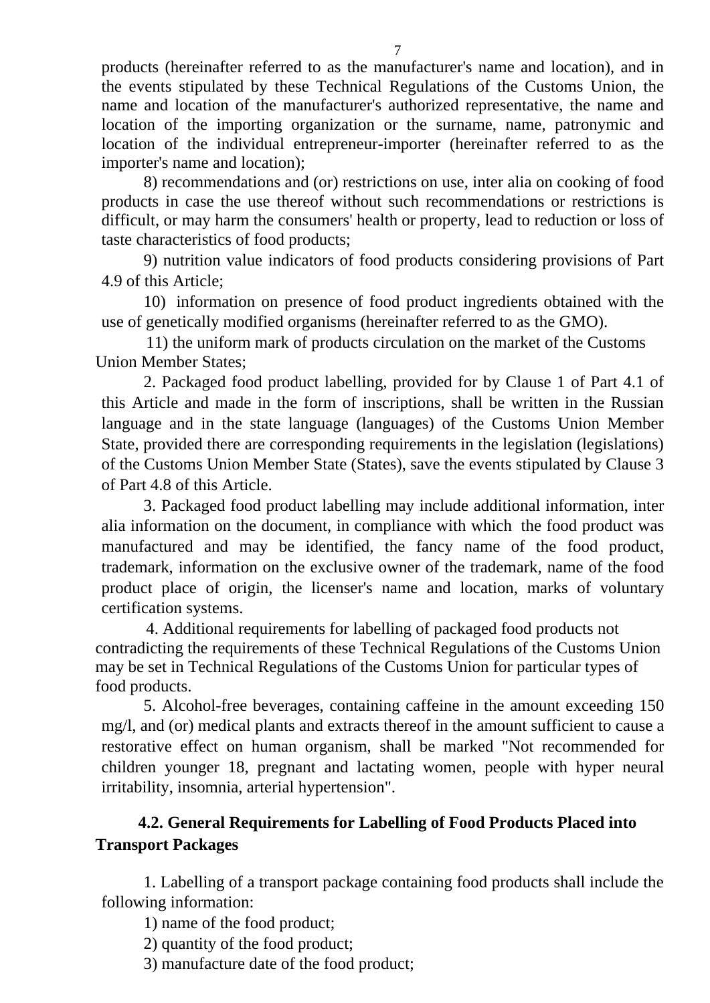products (hereinafter referred to as the manufacturer's name and location), and in the events stipulated by these Technical Regulations of the Customs Union, the name and location of the manufacturer's authorized representative, the name and location of the importing organization or the surname, name, patronymic and location of the individual entrepreneur-importer (hereinafter referred to as the importer's name and location);

8) recommendations and (or) restrictions on use, inter alia on cooking of food products in case the use thereof without such recommendations or restrictions is difficult, or may harm the consumers' health or property, lead to reduction or loss of taste characteristics of food products;

9) nutrition value indicators of food products considering provisions of Part 4.9 of this Article;

10) information on presence of food product ingredients obtained with the use of genetically modified organisms (hereinafter referred to as the GMO).

11) the uniform mark of products circulation on the market of the Customs Union Member States;

2. Packaged food product labelling, provided for by Clause 1 of Part 4.1 of this Article and made in the form of inscriptions, shall be written in the Russian language and in the state language (languages) of the Customs Union Member State, provided there are corresponding requirements in the legislation (legislations) of the Customs Union Member State (States), save the events stipulated by Clause 3 of Part 4.8 of this Article.

3. Packaged food product labelling may include additional information, inter alia information on the document, in compliance with which the food product was manufactured and may be identified, the fancy name of the food product, trademark, information on the exclusive owner of the trademark, name of the food product place of origin, the licenser's name and location, marks of voluntary certification systems.

4. Additional requirements for labelling of packaged food products not contradicting the requirements of these Technical Regulations of the Customs Union may be set in Technical Regulations of the Customs Union for particular types of food products.

5. Alcohol-free beverages, containing caffeine in the amount exceeding 150 mg/l, and (or) medical plants and extracts thereof in the amount sufficient to cause a restorative effect on human organism, shall be marked "Not recommended for children younger 18, pregnant and lactating women, people with hyper neural irritability, insomnia, arterial hypertension".

## <span id="page-6-0"></span>**4.2. General Requirements for Labelling of Food Products Placed into Transport Packages**

1. Labelling of a transport package containing food products shall include the following information:

1) name of the food product;

2) quantity of the food product;

3) manufacture date of the food product;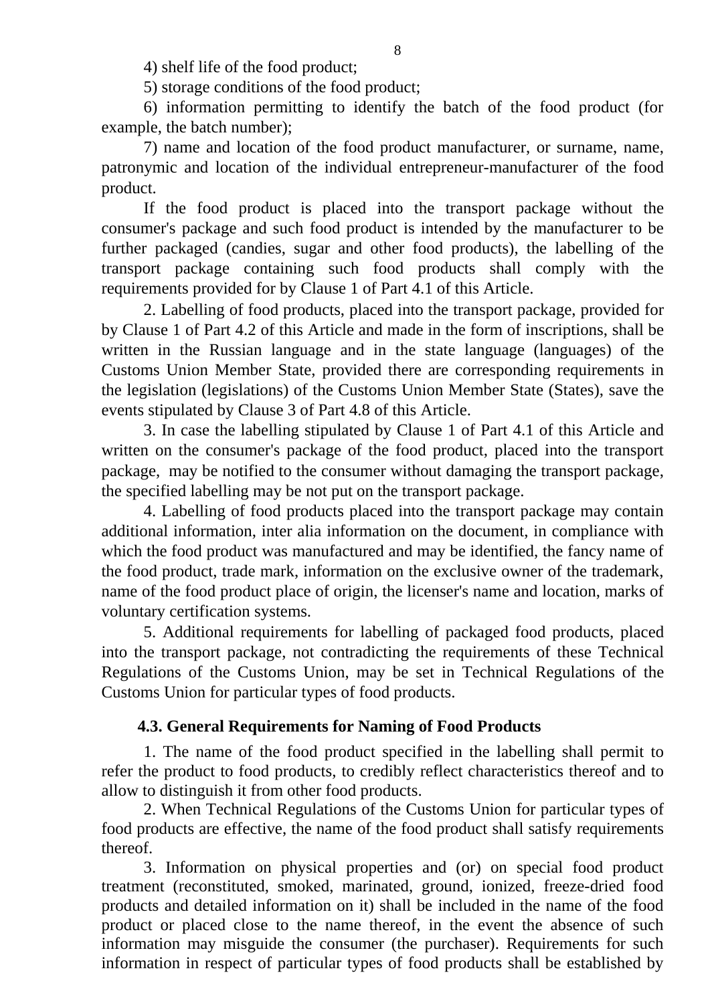4) shelf life of the food product;

5) storage conditions of the food product;

6) information permitting to identify the batch of the food product (for example, the batch number);

7) name and location of the food product manufacturer, or surname, name, patronymic and location of the individual entrepreneur-manufacturer of the food product.

If the food product is placed into the transport package without the consumer's package and such food product is intended by the manufacturer to be further packaged (candies, sugar and other food products), the labelling of the transport package containing such food products shall comply with the requirements provided for by Clause 1 of Part 4.1 of this Article.

2. Labelling of food products, placed into the transport package, provided for by Clause 1 of Part 4.2 of this Article and made in the form of inscriptions, shall be written in the Russian language and in the state language (languages) of the Customs Union Member State, provided there are corresponding requirements in the legislation (legislations) of the Customs Union Member State (States), save the events stipulated by Clause 3 of Part 4.8 of this Article.

3. In case the labelling stipulated by Clause 1 of Part 4.1 of this Article and written on the consumer's package of the food product, placed into the transport package, may be notified to the consumer without damaging the transport package, the specified labelling may be not put on the transport package.

4. Labelling of food products placed into the transport package may contain additional information, inter alia information on the document, in compliance with which the food product was manufactured and may be identified, the fancy name of the food product, trade mark, information on the exclusive owner of the trademark, name of the food product place of origin, the licenser's name and location, marks of voluntary certification systems.

5. Additional requirements for labelling of packaged food products, placed into the transport package, not contradicting the requirements of these Technical Regulations of the Customs Union, may be set in Technical Regulations of the Customs Union for particular types of food products.

### **4.3. General Requirements for Naming of Food Products**

<span id="page-7-0"></span>1. The name of the food product specified in the labelling shall permit to refer the product to food products, to credibly reflect characteristics thereof and to allow to distinguish it from other food products.

2. When Technical Regulations of the Customs Union for particular types of food products are effective, the name of the food product shall satisfy requirements thereof.

3. Information on physical properties and (or) on special food product treatment (reconstituted, smoked, marinated, ground, ionized, freeze-dried food products and detailed information on it) shall be included in the name of the food product or placed close to the name thereof, in the event the absence of such information may misguide the consumer (the purchaser). Requirements for such information in respect of particular types of food products shall be established by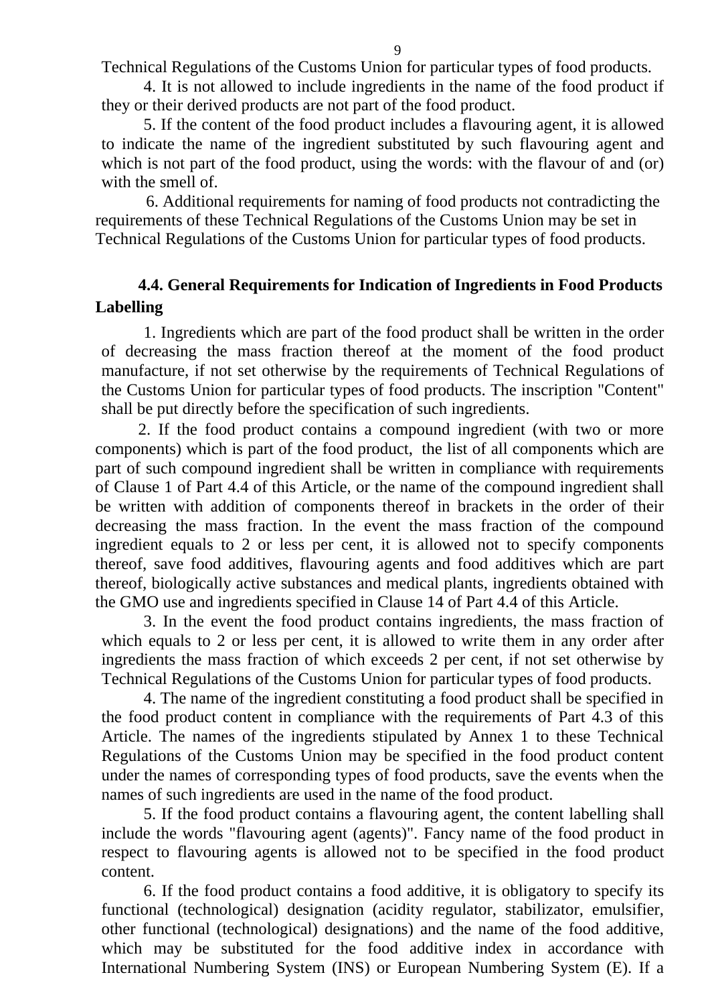9

Technical Regulations of the Customs Union for particular types of food products.

4. It is not allowed to include ingredients in the name of the food product if they or their derived products are not part of the food product.

5. If the content of the food product includes a flavouring agent, it is allowed to indicate the name of the ingredient substituted by such flavouring agent and which is not part of the food product, using the words: with the flavour of and (or) with the smell of.

6. Additional requirements for naming of food products not contradicting the requirements of these Technical Regulations of the Customs Union may be set in Technical Regulations of the Customs Union for particular types of food products.

## <span id="page-8-0"></span>**4.4. General Requirements for Indication of Ingredients in Food Products Labelling**

1. Ingredients which are part of the food product shall be written in the order of decreasing the mass fraction thereof at the moment of the food product manufacture, if not set otherwise by the requirements of Technical Regulations of the Customs Union for particular types of food products. The inscription "Content" shall be put directly before the specification of such ingredients.

2. If the food product contains a compound ingredient (with two or more components) which is part of the food product, the list of all components which are part of such compound ingredient shall be written in compliance with requirements of Clause 1 of Part 4.4 of this Article, or the name of the compound ingredient shall be written with addition of components thereof in brackets in the order of their decreasing the mass fraction. In the event the mass fraction of the compound ingredient equals to 2 or less per cent, it is allowed not to specify components thereof, save food additives, flavouring agents and food additives which are part thereof, biologically active substances and medical plants, ingredients obtained with the GMO use and ingredients specified in Clause 14 of Part 4.4 of this Article.

3. In the event the food product contains ingredients, the mass fraction of which equals to 2 or less per cent, it is allowed to write them in any order after ingredients the mass fraction of which exceeds 2 per cent, if not set otherwise by Technical Regulations of the Customs Union for particular types of food products.

4. The name of the ingredient constituting a food product shall be specified in the food product content in compliance with the requirements of Part 4.3 of this Article. The names of the ingredients stipulated by Annex 1 to these Technical Regulations of the Customs Union may be specified in the food product content under the names of corresponding types of food products, save the events when the names of such ingredients are used in the name of the food product.

5. If the food product contains a flavouring agent, the content labelling shall include the words "flavouring agent (agents)". Fancy name of the food product in respect to flavouring agents is allowed not to be specified in the food product content.

6. If the food product contains a food additive, it is obligatory to specify its functional (technological) designation (acidity regulator, stabilizator, emulsifier, other functional (technological) designations) and the name of the food additive, which may be substituted for the food additive index in accordance with International Numbering System (INS) or European Numbering System (E). If a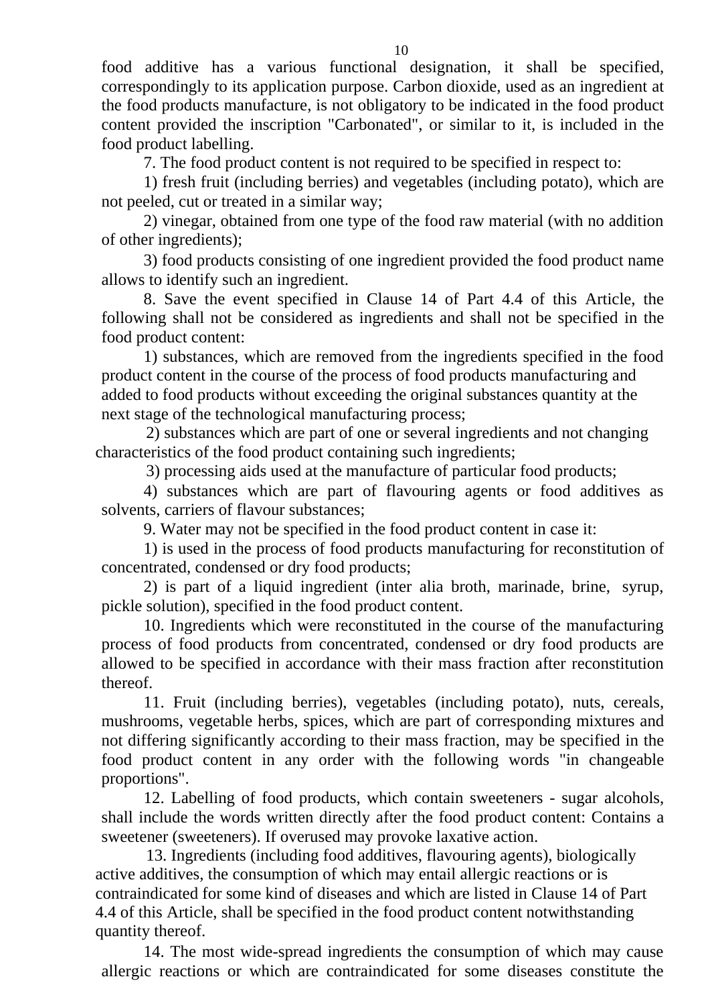food additive has a various functional designation, it shall be specified, correspondingly to its application purpose. Carbon dioxide, used as an ingredient at the food products manufacture, is not obligatory to be indicated in the food product content provided the inscription "Carbonated", or similar to it, is included in the food product labelling.

7. The food product content is not required to be specified in respect to:

1) fresh fruit (including berries) and vegetables (including potato), which are not peeled, cut or treated in a similar way;

2) vinegar, obtained from one type of the food raw material (with no addition of other ingredients);

3) food products consisting of one ingredient provided the food product name allows to identify such an ingredient.

8. Save the event specified in Clause 14 of Part 4.4 of this Article, the following shall not be considered as ingredients and shall not be specified in the food product content:

1) substances, which are removed from the ingredients specified in the food product content in the course of the process of food products manufacturing and added to food products without exceeding the original substances quantity at the next stage of the technological manufacturing process;

2) substances which are part of one or several ingredients and not changing characteristics of the food product containing such ingredients;

3) processing aids used at the manufacture of particular food products;

4) substances which are part of flavouring agents or food additives as solvents, carriers of flavour substances;

9. Water may not be specified in the food product content in case it:

1) is used in the process of food products manufacturing for reconstitution of concentrated, condensed or dry food products;

2) is part of a liquid ingredient (inter alia broth, marinade, brine, syrup, pickle solution), specified in the food product content.

10. Ingredients which were reconstituted in the course of the manufacturing process of food products from concentrated, condensed or dry food products are allowed to be specified in accordance with their mass fraction after reconstitution thereof.

11. Fruit (including berries), vegetables (including potato), nuts, cereals, mushrooms, vegetable herbs, spices, which are part of corresponding mixtures and not differing significantly according to their mass fraction, may be specified in the food product content in any order with the following words "in changeable proportions".

12. Labelling of food products, which contain sweeteners - sugar alcohols, shall include the words written directly after the food product content: Contains a sweetener (sweeteners). If overused may provoke laxative action.

13. Ingredients (including food additives, flavouring agents), biologically active additives, the consumption of which may entail allergic reactions or is contraindicated for some kind of diseases and which are listed in Clause 14 of Part 4.4 of this Article, shall be specified in the food product content notwithstanding quantity thereof.

14. The most wide-spread ingredients the consumption of which may cause allergic reactions or which are contraindicated for some diseases constitute the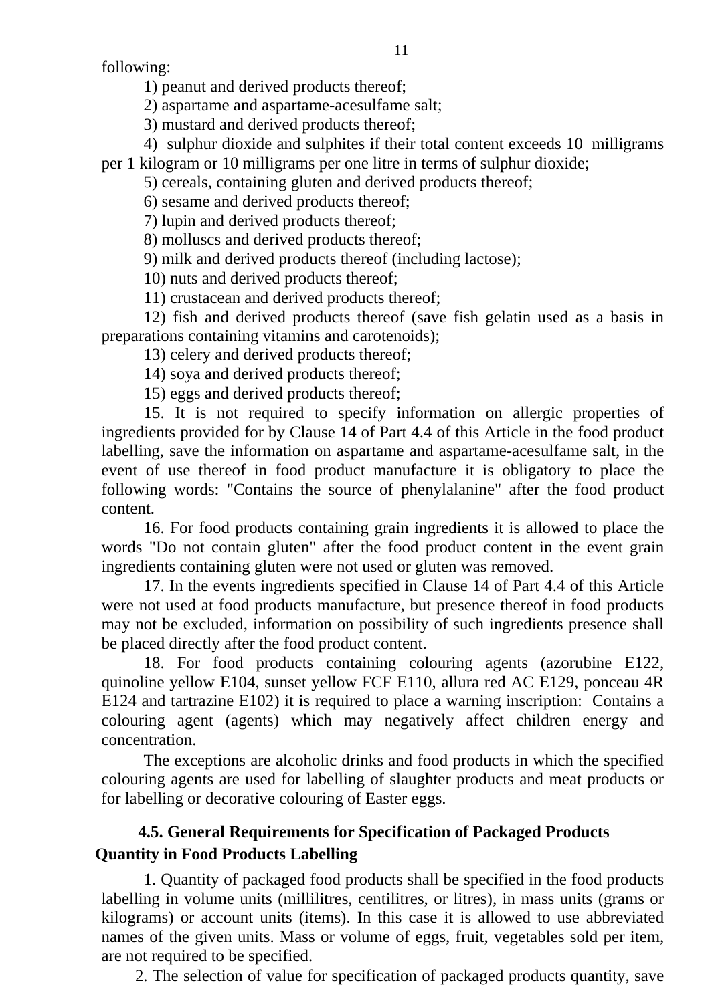following:

1) peanut and derived products thereof;

2) aspartame and aspartame-acesulfame salt;

3) mustard and derived products thereof;

4) sulphur dioxide and sulphites if their total content exceeds 10 milligrams

per 1 kilogram or 10 milligrams per one litre in terms of sulphur dioxide;

5) cereals, containing gluten and derived products thereof;

6) sesame and derived products thereof;

7) lupin and derived products thereof;

8) molluscs and derived products thereof;

9) milk and derived products thereof (including lactose);

10) nuts and derived products thereof;

11) crustacean and derived products thereof;

12) fish and derived products thereof (save fish gelatin used as a basis in preparations containing vitamins and carotenoids);

13) celery and derived products thereof;

14) soya and derived products thereof;

15) eggs and derived products thereof;

15. It is not required to specify information on allergic properties of ingredients provided for by Clause 14 of Part 4.4 of this Article in the food product labelling, save the information on aspartame and aspartame-acesulfame salt, in the event of use thereof in food product manufacture it is obligatory to place the following words: "Contains the source of phenylalanine" after the food product content.

16. For food products containing grain ingredients it is allowed to place the words "Do not contain gluten" after the food product content in the event grain ingredients containing gluten were not used or gluten was removed.

17. In the events ingredients specified in Clause 14 of Part 4.4 of this Article were not used at food products manufacture, but presence thereof in food products may not be excluded, information on possibility of such ingredients presence shall be placed directly after the food product content.

18. For food products containing colouring agents (azorubine Е122, quinoline yellow Е104, sunset yellow FCF Е110, allura red AC Е129, ponceau 4R Е124 and tartrazine Е102) it is required to place a warning inscription: Contains a colouring agent (agents) which may negatively affect children energy and concentration.

The exceptions are alcoholic drinks and food products in which the specified colouring agents are used for labelling of slaughter products and meat products or for labelling or decorative colouring of Easter eggs.

# <span id="page-10-0"></span>**4.5. General Requirements for Specification of Packaged Products Quantity in Food Products Labelling**

1. Quantity of packaged food products shall be specified in the food products labelling in volume units (millilitres, centilitres, or litres), in mass units (grams or kilograms) or account units (items). In this case it is allowed to use abbreviated names of the given units. Mass or volume of eggs, fruit, vegetables sold per item, are not required to be specified.

2. The selection of value for specification of packaged products quantity, save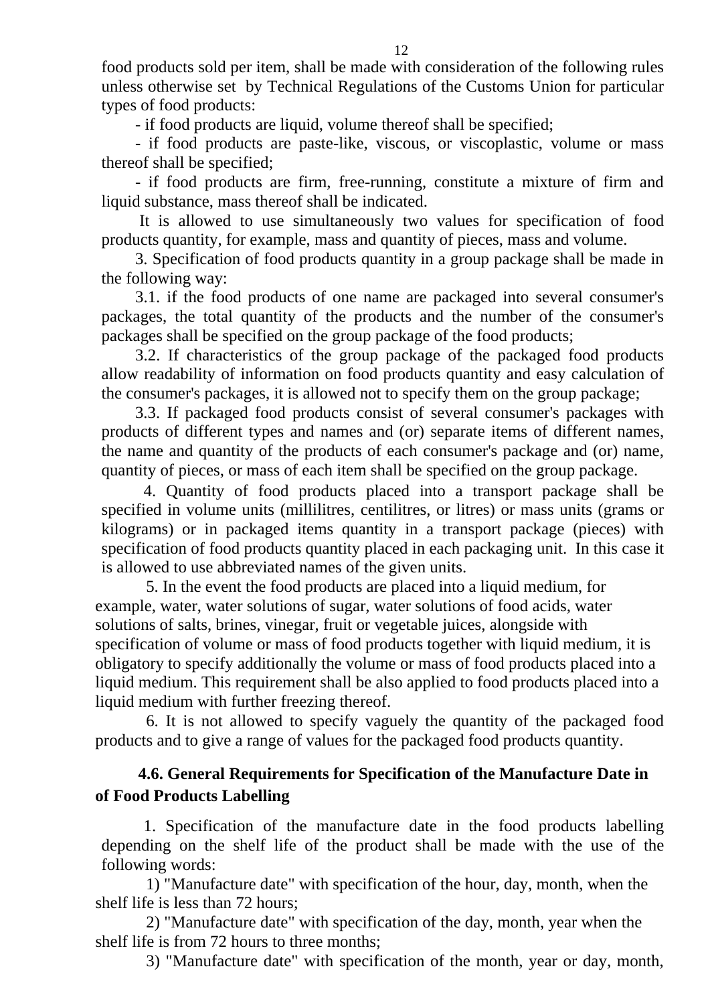food products sold per item, shall be made with consideration of the following rules unless otherwise set by Technical Regulations of the Customs Union for particular types of food products:

- if food products are liquid, volume thereof shall be specified;

- if food products are paste-like, viscous, or viscoplastic, volume or mass thereof shall be specified;

- if food products are firm, free-running, constitute a mixture of firm and liquid substance, mass thereof shall be indicated.

It is allowed to use simultaneously two values for specification of food products quantity, for example, mass and quantity of pieces, mass and volume.

3. Specification of food products quantity in a group package shall be made in the following way:

3.1. if the food products of one name are packaged into several consumer's packages, the total quantity of the products and the number of the consumer's packages shall be specified on the group package of the food products;

3.2. If characteristics of the group package of the packaged food products allow readability of information on food products quantity and easy calculation of the consumer's packages, it is allowed not to specify them on the group package;

3.3. If packaged food products consist of several consumer's packages with products of different types and names and (or) separate items of different names, the name and quantity of the products of each consumer's package and (or) name, quantity of pieces, or mass of each item shall be specified on the group package.

4. Quantity of food products placed into a transport package shall be specified in volume units (millilitres, centilitres, or litres) or mass units (grams or kilograms) or in packaged items quantity in a transport package (pieces) with specification of food products quantity placed in each packaging unit. In this case it is allowed to use abbreviated names of the given units.

5. In the event the food products are placed into a liquid medium, for example, water, water solutions of sugar, water solutions of food acids, water solutions of salts, brines, vinegar, fruit or vegetable juices, alongside with specification of volume or mass of food products together with liquid medium, it is obligatory to specify additionally the volume or mass of food products placed into a liquid medium. This requirement shall be also applied to food products placed into a liquid medium with further freezing thereof.

6. It is not allowed to specify vaguely the quantity of the packaged food products and to give a range of values for the packaged food products quantity.

## <span id="page-11-0"></span>**4.6. General Requirements for Specification of the Manufacture Date in of Food Products Labelling**

1. Specification of the manufacture date in the food products labelling depending on the shelf life of the product shall be made with the use of the following words:

1) "Manufacture date" with specification of the hour, day, month, when the shelf life is less than 72 hours;

2) "Manufacture date" with specification of the day, month, year when the shelf life is from 72 hours to three months;

3) "Manufacture date" with specification of the month, year or day, month,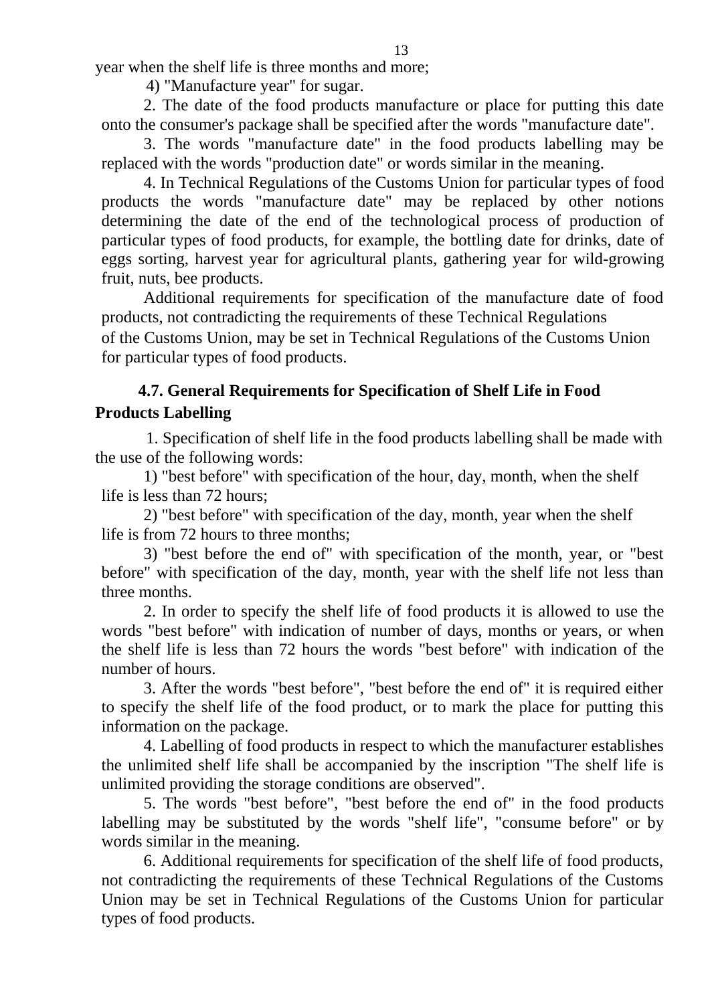year when the shelf life is three months and more;

4) "Manufacture year" for sugar.

2. The date of the food products manufacture or place for putting this date onto the consumer's package shall be specified after the words "manufacture date".

3. The words "manufacture date" in the food products labelling may be replaced with the words "production date" or words similar in the meaning.

4. In Technical Regulations of the Customs Union for particular types of food products the words "manufacture date" may be replaced by other notions determining the date of the end of the technological process of production of particular types of food products, for example, the bottling date for drinks, date of eggs sorting, harvest year for agricultural plants, gathering year for wild-growing fruit, nuts, bee products.

Additional requirements for specification of the manufacture date of food products, not contradicting the requirements of these Technical Regulations of the Customs Union, may be set in Technical Regulations of the Customs Union for particular types of food products.

### <span id="page-12-0"></span>**4.7. General Requirements for Specification of Shelf Life in Food Products Labelling**

1. Specification of shelf life in the food products labelling shall be made with the use of the following words:

1) "best before" with specification of the hour, day, month, when the shelf life is less than 72 hours;

2) "best before" with specification of the day, month, year when the shelf life is from 72 hours to three months;

3) "best before the end of" with specification of the month, year, or "best before" with specification of the day, month, year with the shelf life not less than three months.

2. In order to specify the shelf life of food products it is allowed to use the words "best before" with indication of number of days, months or years, or when the shelf life is less than 72 hours the words "best before" with indication of the number of hours.

3. After the words "best before", "best before the end of" it is required either to specify the shelf life of the food product, or to mark the place for putting this information on the package.

4. Labelling of food products in respect to which the manufacturer establishes the unlimited shelf life shall be accompanied by the inscription "The shelf life is unlimited providing the storage conditions are observed".

5. The words "best before", "best before the end of" in the food products labelling may be substituted by the words "shelf life", "consume before" or by words similar in the meaning.

6. Additional requirements for specification of the shelf life of food products, not contradicting the requirements of these Technical Regulations of the Customs Union may be set in Technical Regulations of the Customs Union for particular types of food products.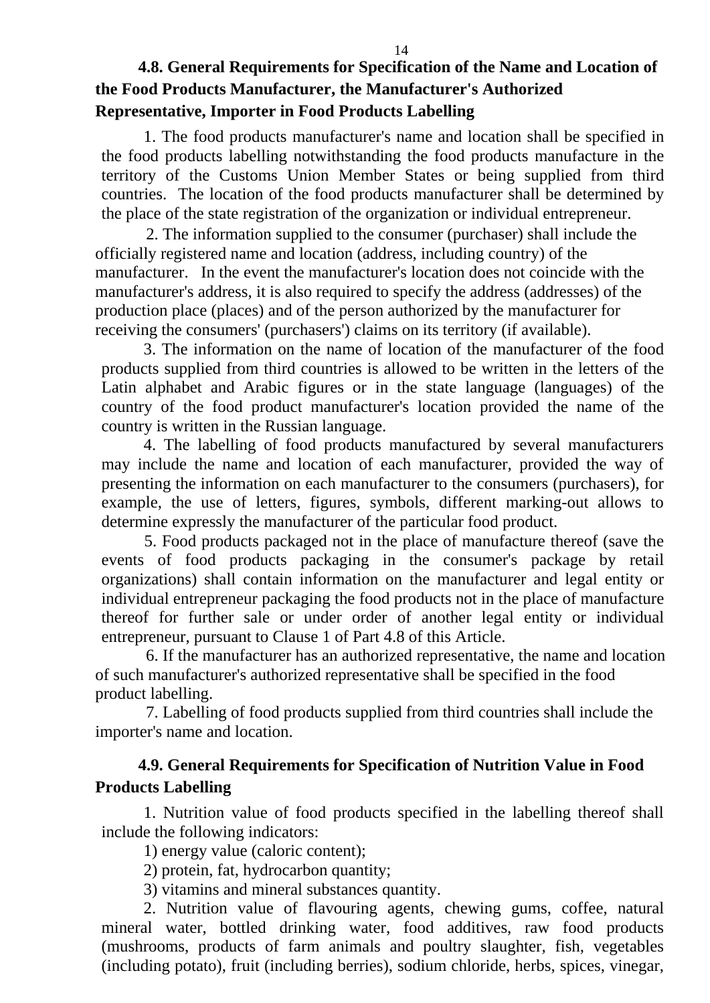## <span id="page-13-0"></span>**4.8. General Requirements for Specification of the Name and Location of the Food Products Manufacturer, the Manufacturer's Authorized Representative, Importer in Food Products Labelling**

1. The food products manufacturer's name and location shall be specified in the food products labelling notwithstanding the food products manufacture in the territory of the Customs Union Member States or being supplied from third countries. The location of the food products manufacturer shall be determined by the place of the state registration of the organization or individual entrepreneur.

2. The information supplied to the consumer (purchaser) shall include the officially registered name and location (address, including country) of the manufacturer. In the event the manufacturer's location does not coincide with the manufacturer's address, it is also required to specify the address (addresses) of the production place (places) and of the person authorized by the manufacturer for receiving the consumers' (purchasers') claims on its territory (if available).

3. The information on the name of location of the manufacturer of the food products supplied from third countries is allowed to be written in the letters of the Latin alphabet and Arabic figures or in the state language (languages) of the country of the food product manufacturer's location provided the name of the country is written in the Russian language.

4. The labelling of food products manufactured by several manufacturers may include the name and location of each manufacturer, provided the way of presenting the information on each manufacturer to the consumers (purchasers), for example, the use of letters, figures, symbols, different marking-out allows to determine expressly the manufacturer of the particular food product.

5. Food products packaged not in the place of manufacture thereof (save the events of food products packaging in the consumer's package by retail organizations) shall contain information on the manufacturer and legal entity or individual entrepreneur packaging the food products not in the place of manufacture thereof for further sale or under order of another legal entity or individual entrepreneur, pursuant to Clause 1 of Part 4.8 of this Article.

6. If the manufacturer has an authorized representative, the name and location of such manufacturer's authorized representative shall be specified in the food product labelling.

7. Labelling of food products supplied from third countries shall include the importer's name and location.

## <span id="page-13-1"></span>**4.9. General Requirements for Specification of Nutrition Value in Food Products Labelling**

1. Nutrition value of food products specified in the labelling thereof shall include the following indicators:

1) energy value (caloric content);

2) protein, fat, hydrocarbon quantity;

3) vitamins and mineral substances quantity.

2. Nutrition value of flavouring agents, chewing gums, coffee, natural mineral water, bottled drinking water, food additives, raw food products (mushrooms, products of farm animals and poultry slaughter, fish, vegetables (including potato), fruit (including berries), sodium chloride, herbs, spices, vinegar,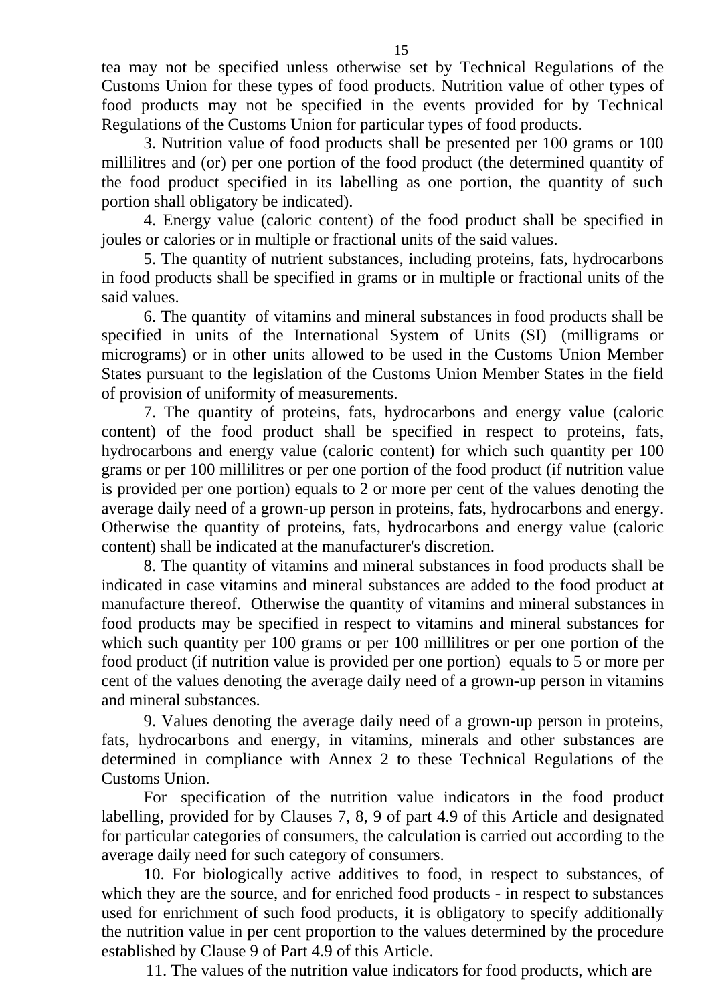tea may not be specified unless otherwise set by Technical Regulations of the Customs Union for these types of food products. Nutrition value of other types of food products may not be specified in the events provided for by Technical Regulations of the Customs Union for particular types of food products.

3. Nutrition value of food products shall be presented per 100 grams or 100 millilitres and (or) per one portion of the food product (the determined quantity of the food product specified in its labelling as one portion, the quantity of such portion shall obligatory be indicated).

4. Energy value (caloric content) of the food product shall be specified in joules or calories or in multiple or fractional units of the said values.

5. The quantity of nutrient substances, including proteins, fats, hydrocarbons in food products shall be specified in grams or in multiple or fractional units of the said values.

6. The quantity of vitamins and mineral substances in food products shall be specified in units of the International System of Units (SI) (milligrams or micrograms) or in other units allowed to be used in the Customs Union Member States pursuant to the legislation of the Customs Union Member States in the field of provision of uniformity of measurements.

7. The quantity of proteins, fats, hydrocarbons and energy value (caloric content) of the food product shall be specified in respect to proteins, fats, hydrocarbons and energy value (caloric content) for which such quantity per 100 grams or per 100 millilitres or per one portion of the food product (if nutrition value is provided per one portion) equals to 2 or more per cent of the values denoting the average daily need of a grown-up person in proteins, fats, hydrocarbons and energy. Otherwise the quantity of proteins, fats, hydrocarbons and energy value (caloric content) shall be indicated at the manufacturer's discretion.

8. The quantity of vitamins and mineral substances in food products shall be indicated in case vitamins and mineral substances are added to the food product at manufacture thereof. Otherwise the quantity of vitamins and mineral substances in food products may be specified in respect to vitamins and mineral substances for which such quantity per 100 grams or per 100 millilitres or per one portion of the food product (if nutrition value is provided per one portion) equals to 5 or more per cent of the values denoting the average daily need of a grown-up person in vitamins and mineral substances.

9. Values denoting the average daily need of a grown-up person in proteins, fats, hydrocarbons and energy, in vitamins, minerals and other substances are determined in compliance with Annex 2 to these Technical Regulations of the Customs Union.

For specification of the nutrition value indicators in the food product labelling, provided for by Clauses 7, 8, 9 of part 4.9 of this Article and designated for particular categories of consumers, the calculation is carried out according to the average daily need for such category of consumers.

10. For biologically active additives to food, in respect to substances, of which they are the source, and for enriched food products - in respect to substances used for enrichment of such food products, it is obligatory to specify additionally the nutrition value in per cent proportion to the values determined by the procedure established by Clause 9 of Part 4.9 of this Article.

11. The values of the nutrition value indicators for food products, which are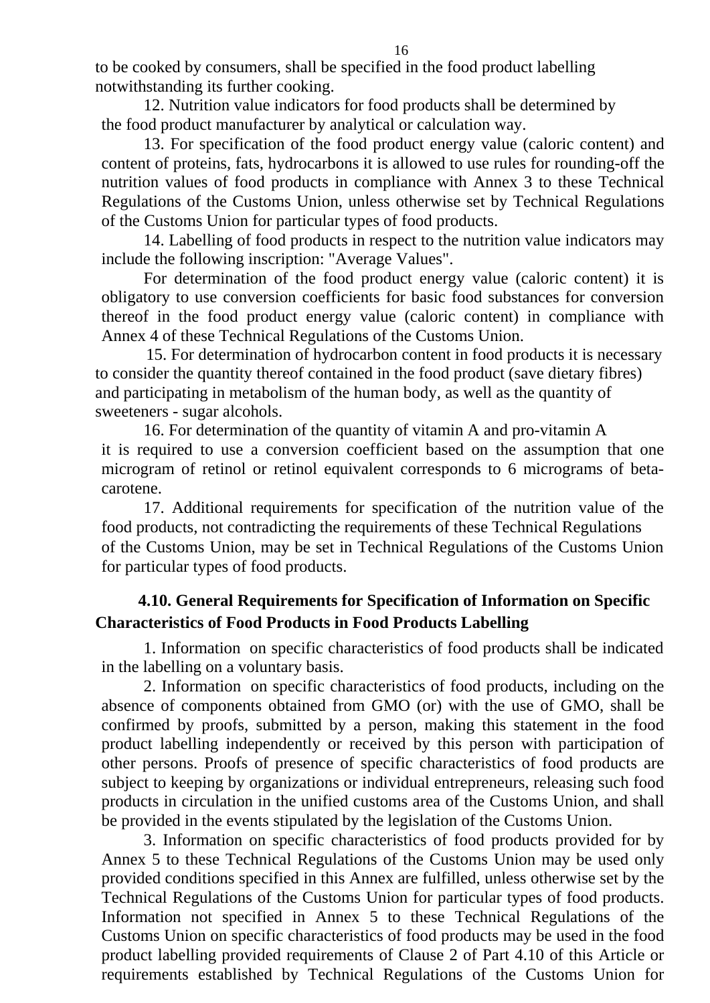to be cooked by consumers, shall be specified in the food product labelling notwithstanding its further cooking.

12. Nutrition value indicators for food products shall be determined by the food product manufacturer by analytical or calculation way.

13. For specification of the food product energy value (caloric content) and content of proteins, fats, hydrocarbons it is allowed to use rules for rounding-off the nutrition values of food products in compliance with Annex 3 to these Technical Regulations of the Customs Union, unless otherwise set by Technical Regulations of the Customs Union for particular types of food products.

14. Labelling of food products in respect to the nutrition value indicators may include the following inscription: "Average Values".

For determination of the food product energy value (caloric content) it is obligatory to use conversion coefficients for basic food substances for conversion thereof in the food product energy value (caloric content) in compliance with Annex 4 of these Technical Regulations of the Customs Union.

15. For determination of hydrocarbon content in food products it is necessary to consider the quantity thereof contained in the food product (save dietary fibres) and participating in metabolism of the human body, as well as the quantity of sweeteners - sugar alcohols.

16. For determination of the quantity of vitamin A and pro-vitamin A it is required to use a conversion coefficient based on the assumption that one microgram of retinol or retinol equivalent corresponds to 6 micrograms of betacarotene.

17. Additional requirements for specification of the nutrition value of the food products, not contradicting the requirements of these Technical Regulations of the Customs Union, may be set in Technical Regulations of the Customs Union for particular types of food products.

## <span id="page-15-0"></span>**4.10. General Requirements for Specification of Information on Specific Characteristics of Food Products in Food Products Labelling**

1. Information on specific characteristics of food products shall be indicated in the labelling on a voluntary basis.

2. Information on specific characteristics of food products, including on the absence of components obtained from GMO (or) with the use of GMO, shall be confirmed by proofs, submitted by a person, making this statement in the food product labelling independently or received by this person with participation of other persons. Proofs of presence of specific characteristics of food products are subject to keeping by organizations or individual entrepreneurs, releasing such food products in circulation in the unified customs area of the Customs Union, and shall be provided in the events stipulated by the legislation of the Customs Union.

3. Information on specific characteristics of food products provided for by Annex 5 to these Technical Regulations of the Customs Union may be used only provided conditions specified in this Annex are fulfilled, unless otherwise set by the Technical Regulations of the Customs Union for particular types of food products. Information not specified in Annex 5 to these Technical Regulations of the Customs Union on specific characteristics of food products may be used in the food product labelling provided requirements of Clause 2 of Part 4.10 of this Article or requirements established by Technical Regulations of the Customs Union for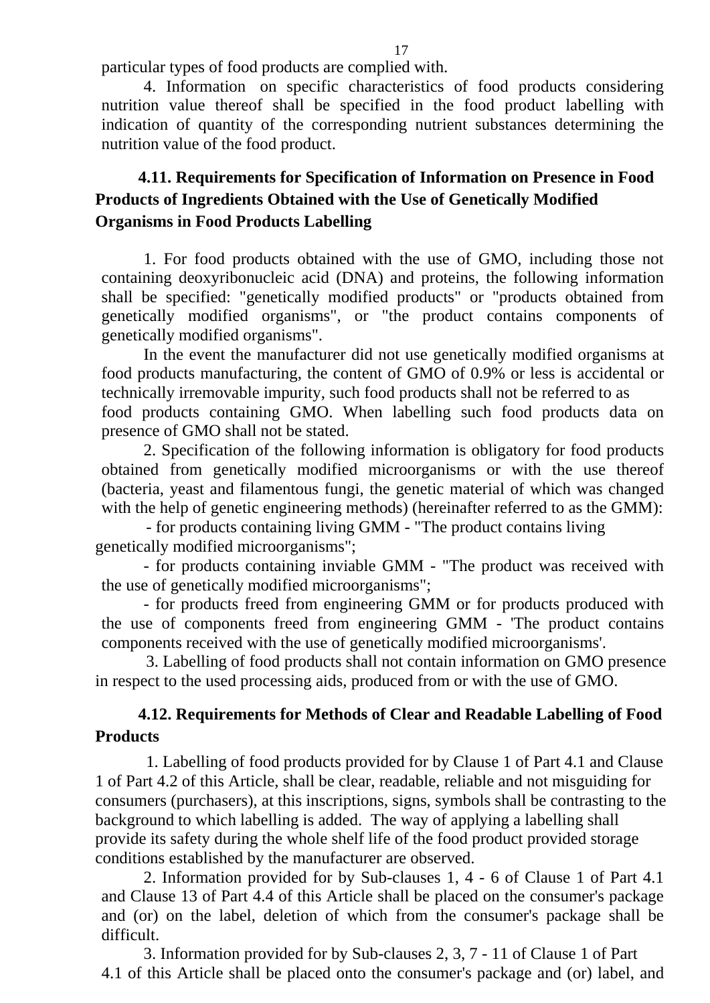particular types of food products are complied with.

4. Information on specific characteristics of food products considering nutrition value thereof shall be specified in the food product labelling with indication of quantity of the corresponding nutrient substances determining the nutrition value of the food product.

## <span id="page-16-0"></span>**4.11. Requirements for Specification of Information on Presence in Food Products of Ingredients Obtained with the Use of Genetically Modified Organisms in Food Products Labelling**

1. For food products obtained with the use of GMO, including those not containing deoxyribonucleic acid (DNA) and proteins, the following information shall be specified: "genetically modified products" or "products obtained from genetically modified organisms", or "the product contains components of genetically modified organisms".

In the event the manufacturer did not use genetically modified organisms at food products manufacturing, the content of GMO of 0.9% or less is accidental or technically irremovable impurity, such food products shall not be referred to as food products containing GMO. When labelling such food products data on presence of GMO shall not be stated.

2. Specification of the following information is obligatory for food products obtained from genetically modified microorganisms or with the use thereof (bacteria, yeast and filamentous fungi, the genetic material of which was changed with the help of genetic engineering methods) (hereinafter referred to as the GMM):

- for products containing living GMM - "The product contains living genetically modified microorganisms";

- for products containing inviable GMM - "The product was received with the use of genetically modified microorganisms";

- for products freed from engineering GMM or for products produced with the use of components freed from engineering GMM - 'The product contains components received with the use of genetically modified microorganisms'.

<span id="page-16-1"></span>3. Labelling of food products shall not contain information on GMO presence in respect to the used processing aids, produced from or with the use of GMO.

## **4.12. Requirements for Methods of Clear and Readable Labelling of Food Products**

1. Labelling of food products provided for by Clause 1 of Part 4.1 and Clause 1 of Part 4.2 of this Article, shall be clear, readable, reliable and not misguiding for consumers (purchasers), at this inscriptions, signs, symbols shall be contrasting to the background to which labelling is added. The way of applying a labelling shall provide its safety during the whole shelf life of the food product provided storage conditions established by the manufacturer are observed.

2. Information provided for by Sub-clauses 1, 4 - 6 of Clause 1 of Part 4.1 and Clause 13 of Part 4.4 of this Article shall be placed on the consumer's package and (or) on the label, deletion of which from the consumer's package shall be difficult.

3. Information provided for by Sub-clauses 2, 3, 7 - 11 of Clause 1 of Part 4.1 of this Article shall be placed onto the consumer's package and (or) label, and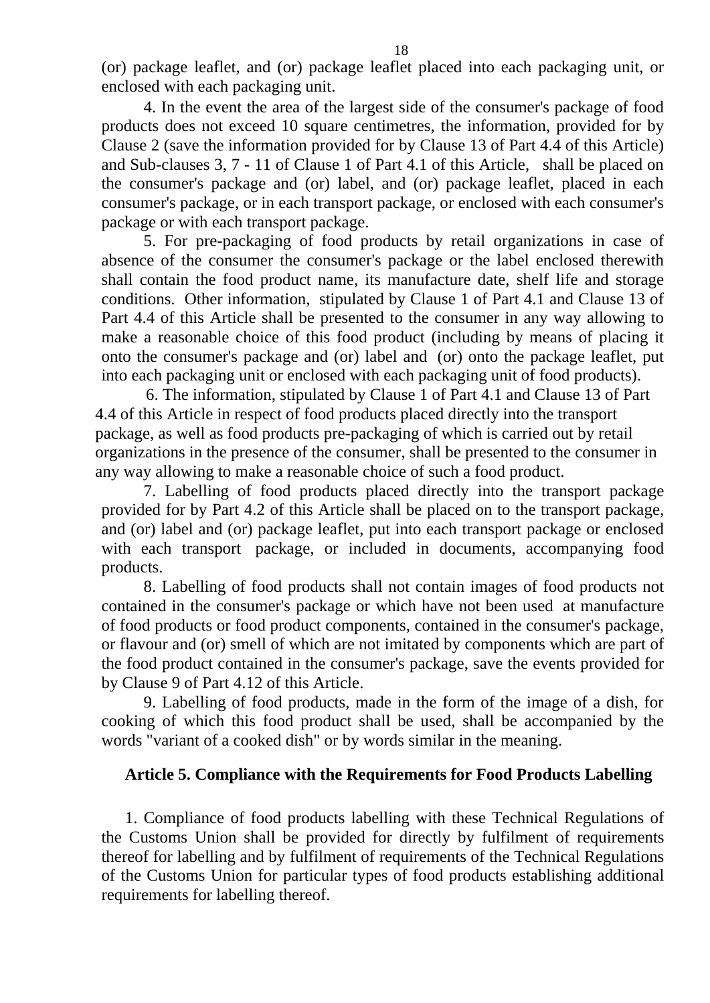(or) package leaflet, and (or) package leaflet placed into each packaging unit, or enclosed with each packaging unit.

4. In the event the area of the largest side of the consumer's package of food products does not exceed 10 square centimetres, the information, provided for by Clause 2 (save the information provided for by Clause 13 of Part 4.4 of this Article) and Sub-clauses 3, 7 - 11 of Clause 1 of Part 4.1 of this Article, shall be placed on the consumer's package and (or) label, and (or) package leaflet, placed in each consumer's package, or in each transport package, or enclosed with each consumer's package or with each transport package.

5. For pre-packaging of food products by retail organizations in case of absence of the consumer the consumer's package or the label enclosed therewith shall contain the food product name, its manufacture date, shelf life and storage conditions. Other information, stipulated by Clause 1 of Part 4.1 and Clause 13 of Part 4.4 of this Article shall be presented to the consumer in any way allowing to make a reasonable choice of this food product (including by means of placing it onto the consumer's package and (or) label and (or) onto the package leaflet, put into each packaging unit or enclosed with each packaging unit of food products).

6. The information, stipulated by Clause 1 of Part 4.1 and Clause 13 of Part 4.4 of this Article in respect of food products placed directly into the transport package, as well as food products pre-packaging of which is carried out by retail organizations in the presence of the consumer, shall be presented to the consumer in any way allowing to make a reasonable choice of such a food product.

7. Labelling of food products placed directly into the transport package provided for by Part 4.2 of this Article shall be placed on to the transport package, and (or) label and (or) package leaflet, put into each transport package or enclosed with each transport package, or included in documents, accompanying food products.

8. Labelling of food products shall not contain images of food products not contained in the consumer's package or which have not been used at manufacture of food products or food product components, contained in the consumer's package, or flavour and (or) smell of which are not imitated by components which are part of the food product contained in the consumer's package, save the events provided for by Clause 9 of Part 4.12 of this Article.

<span id="page-17-0"></span>9. Labelling of food products, made in the form of the image of a dish, for cooking of which this food product shall be used, shall be accompanied by the words "variant of a cooked dish" or by words similar in the meaning.

### **Article 5. Compliance with the Requirements for Food Products Labelling**

1. Compliance of food products labelling with these Technical Regulations of the Customs Union shall be provided for directly by fulfilment of requirements thereof for labelling and by fulfilment of requirements of the Technical Regulations of the Customs Union for particular types of food products establishing additional requirements for labelling thereof.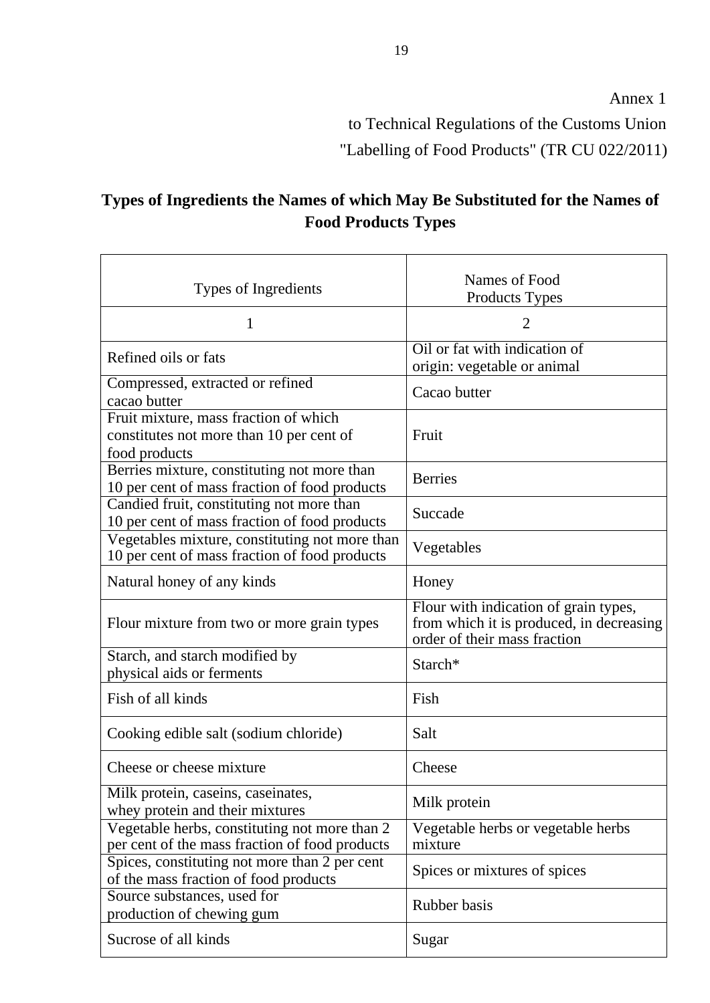to Technical Regulations of the Customs Union "Labelling of Food Products" (TR CU 022/2011)

# <span id="page-18-0"></span>**Types of Ingredients the Names of which May Be Substituted for the Names of Food Products Types**

| Types of Ingredients                                                                               | Names of Food<br><b>Products Types</b>                                                                            |
|----------------------------------------------------------------------------------------------------|-------------------------------------------------------------------------------------------------------------------|
| T                                                                                                  | 2                                                                                                                 |
| Refined oils or fats                                                                               | Oil or fat with indication of<br>origin: vegetable or animal                                                      |
| Compressed, extracted or refined<br>cacao butter                                                   | Cacao butter                                                                                                      |
| Fruit mixture, mass fraction of which<br>constitutes not more than 10 per cent of<br>food products | Fruit                                                                                                             |
| Berries mixture, constituting not more than<br>10 per cent of mass fraction of food products       | <b>Berries</b>                                                                                                    |
| Candied fruit, constituting not more than<br>10 per cent of mass fraction of food products         | Succade                                                                                                           |
| Vegetables mixture, constituting not more than<br>10 per cent of mass fraction of food products    | Vegetables                                                                                                        |
| Natural honey of any kinds                                                                         | Honey                                                                                                             |
| Flour mixture from two or more grain types                                                         | Flour with indication of grain types,<br>from which it is produced, in decreasing<br>order of their mass fraction |
| Starch, and starch modified by<br>physical aids or ferments                                        | Starch*                                                                                                           |
| Fish of all kinds                                                                                  | Fish                                                                                                              |
| Cooking edible salt (sodium chloride)                                                              | Salt                                                                                                              |
| Cheese or cheese mixture                                                                           | Cheese                                                                                                            |
| Milk protein, caseins, caseinates,<br>whey protein and their mixtures                              | Milk protein                                                                                                      |
| Vegetable herbs, constituting not more than 2<br>per cent of the mass fraction of food products    | Vegetable herbs or vegetable herbs<br>mixture                                                                     |
| Spices, constituting not more than 2 per cent<br>of the mass fraction of food products             | Spices or mixtures of spices                                                                                      |
| Source substances, used for<br>production of chewing gum                                           | Rubber basis                                                                                                      |
| Sucrose of all kinds                                                                               | Sugar                                                                                                             |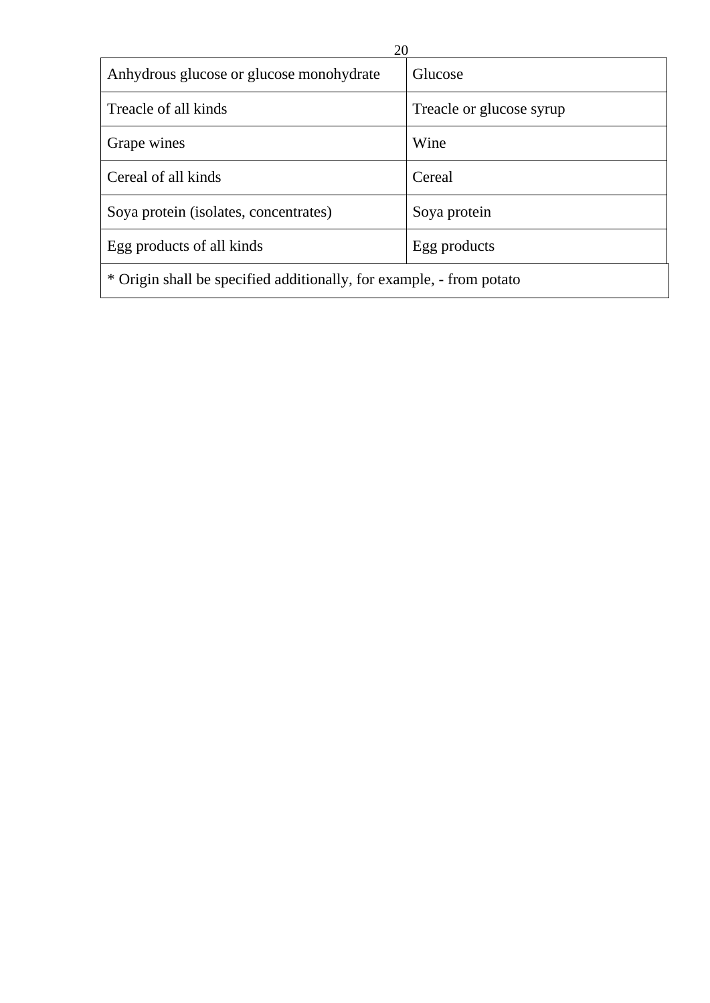| 20                                                                   |                          |  |
|----------------------------------------------------------------------|--------------------------|--|
| Anhydrous glucose or glucose monohydrate                             | Glucose                  |  |
| Treacle of all kinds                                                 | Treacle or glucose syrup |  |
| Grape wines                                                          | Wine                     |  |
| Cereal of all kinds                                                  | Cereal                   |  |
| Soya protein (isolates, concentrates)                                | Soya protein             |  |
| Egg products of all kinds                                            | Egg products             |  |
| * Origin shall be specified additionally, for example, - from potato |                          |  |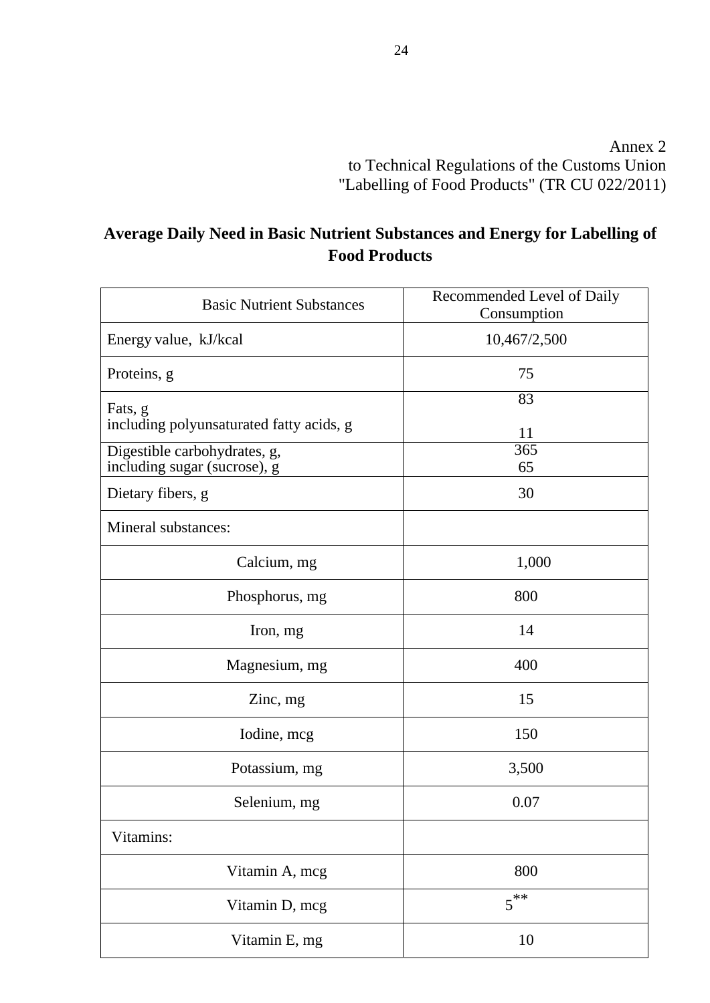Annex 2 to Technical Regulations of the Customs Union "Labelling of Food Products" (TR CU 022/2011)

# <span id="page-20-0"></span>**Average Daily Need in Basic Nutrient Substances and Energy for Labelling of Food Products**

| <b>Basic Nutrient Substances</b>                             | Recommended Level of Daily<br>Consumption |
|--------------------------------------------------------------|-------------------------------------------|
| Energy value, kJ/kcal                                        | 10,467/2,500                              |
| Proteins, g                                                  | 75                                        |
| Fats, g<br>including polyunsaturated fatty acids, g          | 83<br>11                                  |
| Digestible carbohydrates, g,<br>including sugar (sucrose), g | $\overline{365}$<br>65                    |
| Dietary fibers, g                                            | 30                                        |
| Mineral substances:                                          |                                           |
| Calcium, mg                                                  | 1,000                                     |
| Phosphorus, mg                                               | 800                                       |
| Iron, mg                                                     | 14                                        |
| Magnesium, mg                                                | 400                                       |
| Zinc, mg                                                     | 15                                        |
| Iodine, mcg                                                  | 150                                       |
| Potassium, mg                                                | 3,500                                     |
| Selenium, mg                                                 | 0.07                                      |
| Vitamins:                                                    |                                           |
| Vitamin A, mcg                                               | 800                                       |
| Vitamin D, mcg                                               | $5^{**}$                                  |
| Vitamin E, mg                                                | 10                                        |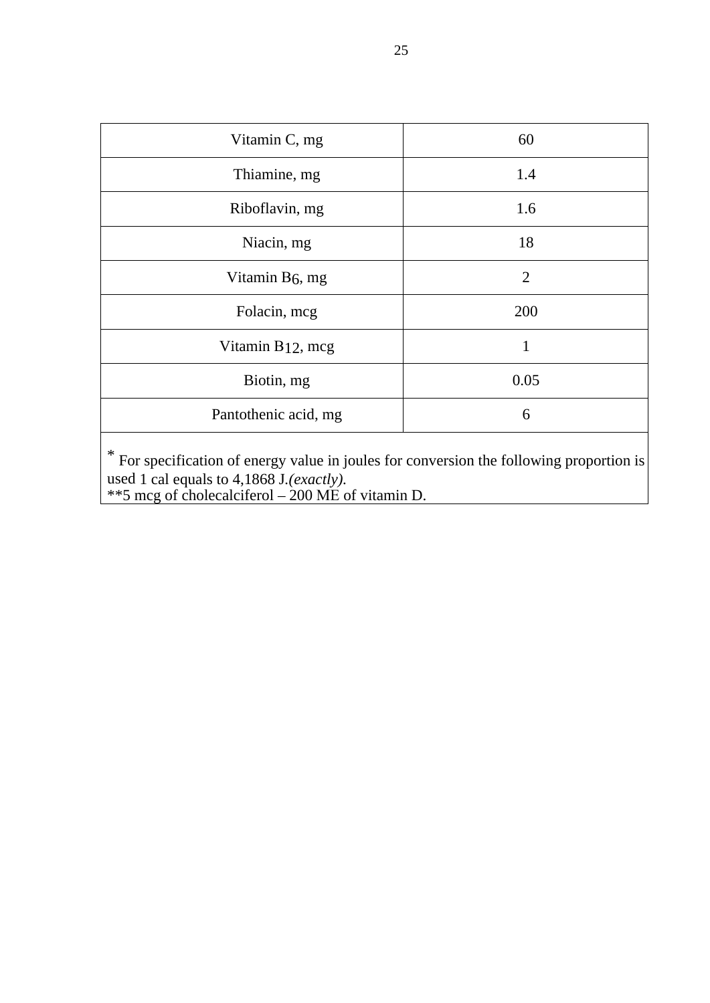| Vitamin C, mg                 | 60             |
|-------------------------------|----------------|
| Thiamine, mg                  | 1.4            |
| Riboflavin, mg                | 1.6            |
| Niacin, mg                    | 18             |
| Vitamin B <sub>6</sub> , mg   | $\overline{2}$ |
| Folacin, mcg                  | 200            |
| Vitamin B <sub>12</sub> , mcg |                |
| Biotin, mg                    | 0.05           |
| Pantothenic acid, mg          | 6              |
|                               |                |

\* For specification of energy value in joules for conversion the following proportion is used 1 cal equals to 4,1868 J*.(exactly).* \*\*5 mcg of cholecalciferol – 200 МЕ of vitamin D.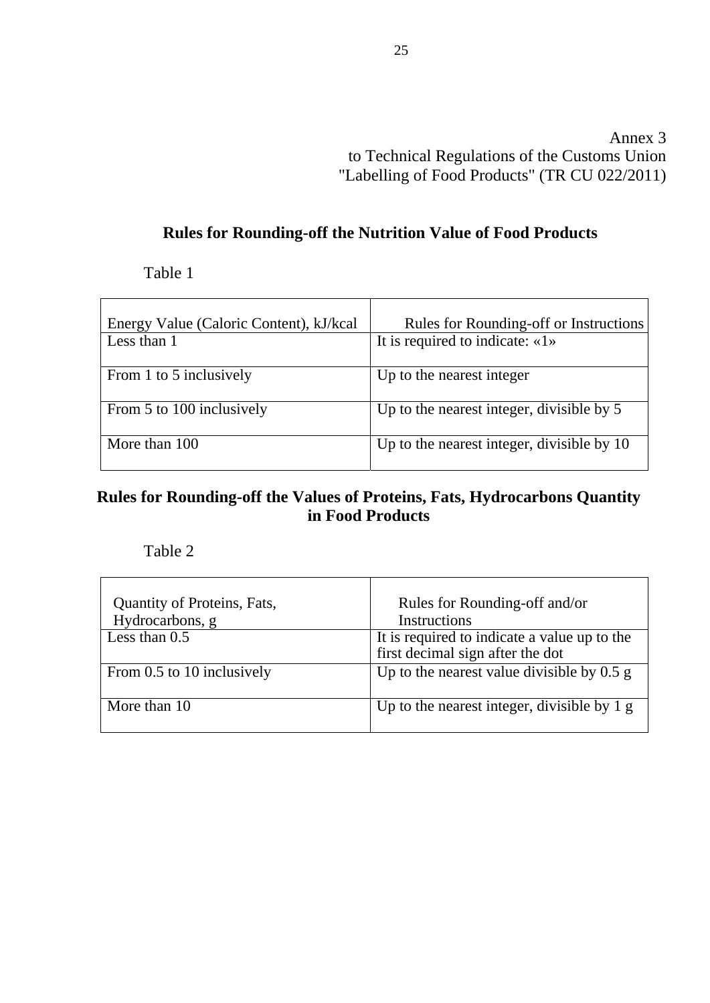Annex 3 to Technical Regulations of the Customs Union "Labelling of Food Products" (TR CU 022/2011)

# **Rules for Rounding-off the Nutrition Value of Food Products**

Table 1

<span id="page-22-0"></span>

| Energy Value (Caloric Content), kJ/kcal | Rules for Rounding-off or Instructions     |
|-----------------------------------------|--------------------------------------------|
| Less than 1                             | It is required to indicate: $\ll 1$        |
| From 1 to 5 inclusively                 | Up to the nearest integer                  |
| From 5 to 100 inclusively               | Up to the nearest integer, divisible by 5  |
| More than 100                           | Up to the nearest integer, divisible by 10 |

### **Rules for Rounding-off the Values of Proteins, Fats, Hydrocarbons Quantity in Food Products**

Table 2

| Quantity of Proteins, Fats,<br>Hydrocarbons, g | Rules for Rounding-off and/or<br>Instructions                                    |
|------------------------------------------------|----------------------------------------------------------------------------------|
| Less than $0.5$                                | It is required to indicate a value up to the<br>first decimal sign after the dot |
| From 0.5 to 10 inclusively                     | Up to the nearest value divisible by $0.5$ g                                     |
| More than 10                                   | Up to the nearest integer, divisible by $1 g$                                    |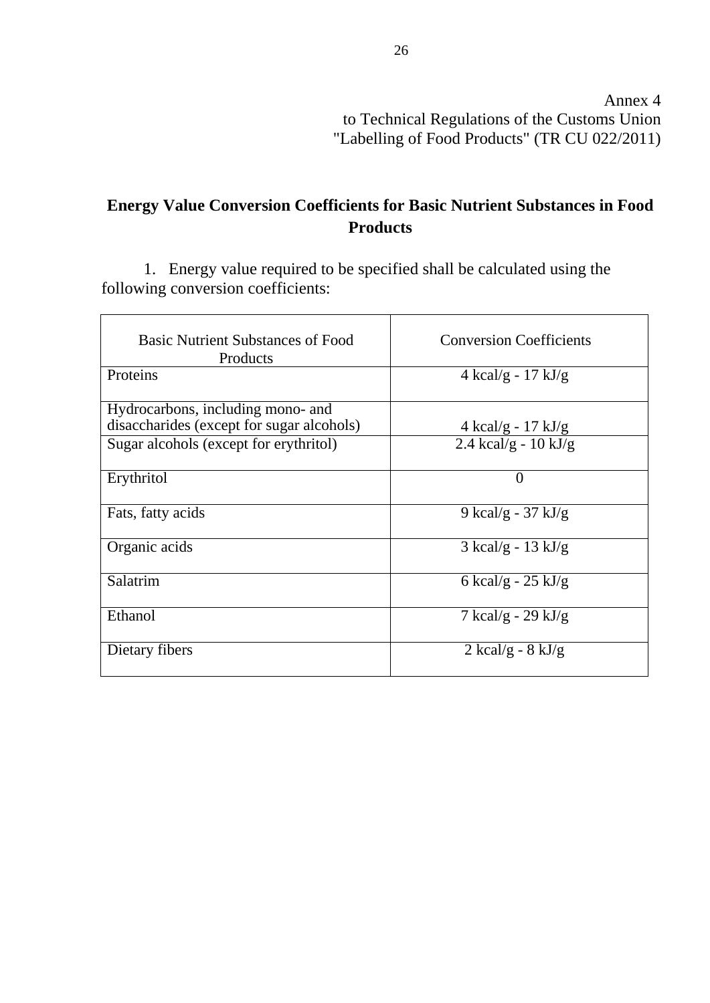## <span id="page-23-0"></span>**Energy Value Conversion Coefficients for Basic Nutrient Substances in Food Products**

1. Energy value required to be specified shall be calculated using the following conversion coefficients:

| <b>Basic Nutrient Substances of Food</b><br>Products | <b>Conversion Coefficients</b>       |
|------------------------------------------------------|--------------------------------------|
| Proteins                                             | 4 kcal/g - $17 \text{ kJ/g}$         |
| Hydrocarbons, including mono- and                    |                                      |
| disaccharides (except for sugar alcohols)            | 4 kcal/g - $17 \text{ kJ/g}$         |
| Sugar alcohols (except for erythritol)               | 2.4 kcal/g - $10 \text{ kJ/g}$       |
| Erythritol                                           | 0                                    |
| Fats, fatty acids                                    | 9 kcal/g - 37 kJ/g                   |
| Organic acids                                        | $3 \text{ kcal/g} - 13 \text{ kJ/g}$ |
| Salatrim                                             | 6 kcal/g - $25 \text{ kJ/g}$         |
| Ethanol                                              | $7 \text{ kcal/g} - 29 \text{ kJ/g}$ |
| Dietary fibers                                       | $2 \text{ kcal/g} - 8 \text{ kJ/g}$  |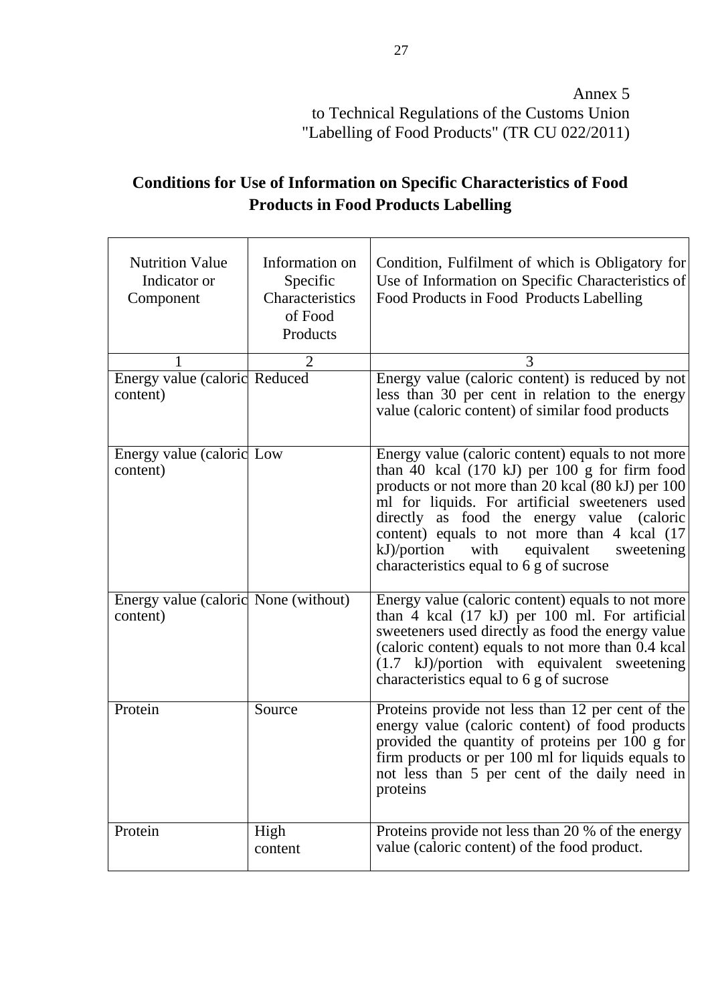# <span id="page-24-0"></span>**Conditions for Use of Information on Specific Characteristics of Food Products in Food Products Labelling**

| <b>Nutrition Value</b><br>Indicator or<br>Component | Information on<br>Specific<br>Characteristics<br>of Food<br>Products | Condition, Fulfilment of which is Obligatory for<br>Use of Information on Specific Characteristics of<br>Food Products in Food Products Labelling                                                                                                                                                                                                                                                           |
|-----------------------------------------------------|----------------------------------------------------------------------|-------------------------------------------------------------------------------------------------------------------------------------------------------------------------------------------------------------------------------------------------------------------------------------------------------------------------------------------------------------------------------------------------------------|
|                                                     | 2                                                                    | 3                                                                                                                                                                                                                                                                                                                                                                                                           |
| Energy value (caloric Reduced<br>content)           |                                                                      | Energy value (caloric content) is reduced by not<br>less than 30 per cent in relation to the energy<br>value (caloric content) of similar food products                                                                                                                                                                                                                                                     |
| Energy value (caloric Low<br>content)               |                                                                      | Energy value (caloric content) equals to not more<br>than 40 kcal $(170 \text{ kJ})$ per 100 g for firm food<br>products or not more than 20 kcal (80 kJ) per 100<br>ml for liquids. For artificial sweeteners used<br>directly as food the energy value (caloric<br>content) equals to not more than 4 kcal (17<br>kJ)/portion with<br>equivalent<br>sweetening<br>characteristics equal to 6 g of sucrose |
| Energy value (caloric None (without)<br>content)    |                                                                      | Energy value (caloric content) equals to not more<br>than 4 kcal (17 kJ) per 100 ml. For artificial<br>sweeteners used directly as food the energy value<br>(caloric content) equals to not more than 0.4 kcal<br>(1.7 kJ)/portion with equivalent sweetening<br>characteristics equal to 6 g of sucrose                                                                                                    |
| Protein                                             | Source                                                               | Proteins provide not less than 12 per cent of the<br>energy value (caloric content) of food products<br>provided the quantity of proteins per 100 g for<br>firm products or per 100 ml for liquids equals to<br>not less than 5 per cent of the daily need in<br>proteins                                                                                                                                   |
| Protein                                             | High<br>content                                                      | Proteins provide not less than 20 % of the energy<br>value (caloric content) of the food product.                                                                                                                                                                                                                                                                                                           |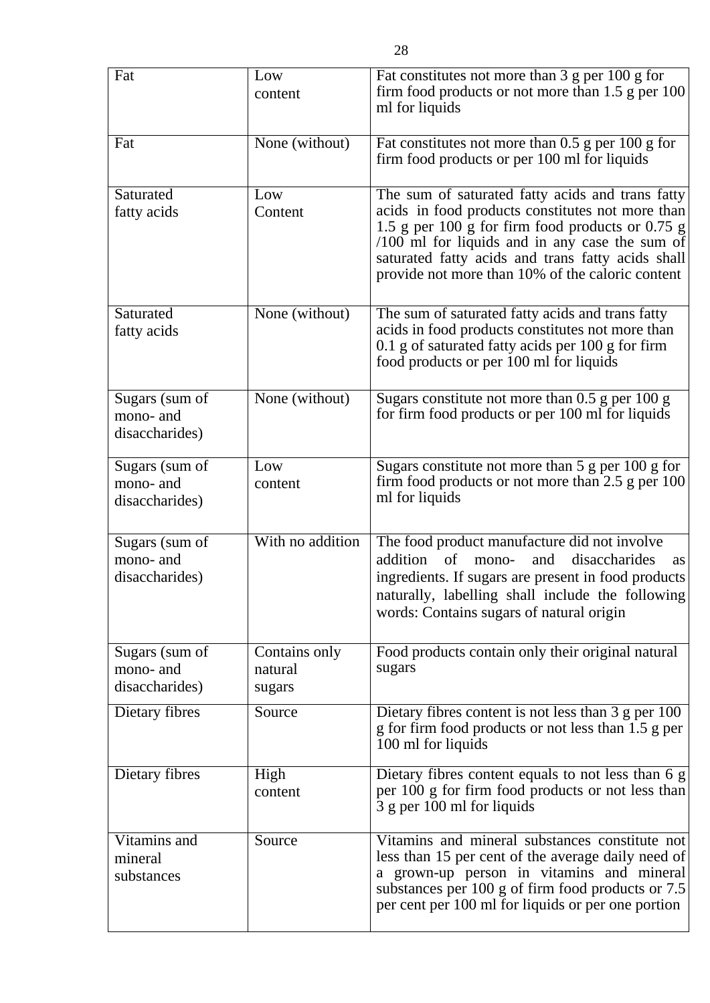| Fat                         | Low                      | Fat constitutes not more than 3 g per 100 g for<br>firm food products or not more than $1.5$ g per $100$                                                                                                      |
|-----------------------------|--------------------------|---------------------------------------------------------------------------------------------------------------------------------------------------------------------------------------------------------------|
|                             | content                  | ml for liquids                                                                                                                                                                                                |
| Fat                         | None (without)           | Fat constitutes not more than 0.5 g per 100 g for<br>firm food products or per 100 ml for liquids                                                                                                             |
| Saturated<br>fatty acids    | Low<br>Content           | The sum of saturated fatty acids and trans fatty<br>acids in food products constitutes not more than                                                                                                          |
|                             |                          | 1.5 g per 100 g for firm food products or 0.75 g<br>$/100$ ml for liquids and in any case the sum of<br>saturated fatty acids and trans fatty acids shall<br>provide not more than 10% of the caloric content |
| Saturated                   | None (without)           | The sum of saturated fatty acids and trans fatty                                                                                                                                                              |
| fatty acids                 |                          | acids in food products constitutes not more than<br>$0.1$ g of saturated fatty acids per 100 g for firm<br>food products or per 100 ml for liquids                                                            |
| Sugars (sum of              | None (without)           | Sugars constitute not more than $0.5$ g per $100$ g<br>for firm food products or per 100 ml for liquids                                                                                                       |
| mono- and<br>disaccharides) |                          |                                                                                                                                                                                                               |
| Sugars (sum of<br>mono- and | Low                      | Sugars constitute not more than $5 g per 100 g for$<br>firm food products or not more than $2.5$ g per $100$                                                                                                  |
| disaccharides)              | content                  | ml for liquids                                                                                                                                                                                                |
| Sugars (sum of<br>mono- and | With no addition         | The food product manufacture did not involve<br>addition of<br>mono-<br>and<br>disaccharides<br><b>as</b>                                                                                                     |
| disaccharides)              |                          | ingredients. If sugars are present in food products<br>naturally, labelling shall include the following<br>words: Contains sugars of natural origin                                                           |
| Sugars (sum of<br>mono- and | Contains only<br>natural | Food products contain only their original natural<br>sugars                                                                                                                                                   |
| disaccharides)              | sugars                   |                                                                                                                                                                                                               |
| Dietary fibres              | Source                   | Dietary fibres content is not less than 3 g per 100<br>g for firm food products or not less than 1.5 g per<br>100 ml for liquids                                                                              |
| Dietary fibres              | High<br>content          | Dietary fibres content equals to not less than 6 g<br>per 100 g for firm food products or not less than<br>3 g per 100 ml for liquids                                                                         |
| Vitamins and                | Source                   | Vitamins and mineral substances constitute not                                                                                                                                                                |
| mineral<br>substances       |                          | less than 15 per cent of the average daily need of<br>a grown-up person in vitamins and mineral<br>substances per 100 g of firm food products or 7.5<br>per cent per 100 ml for liquids or per one portion    |
|                             |                          |                                                                                                                                                                                                               |